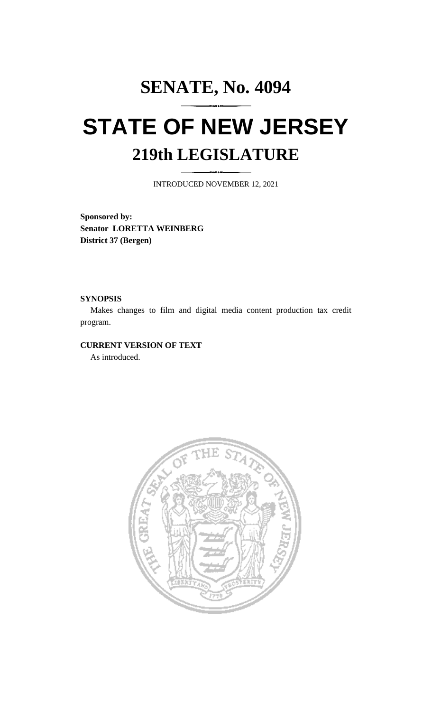# **SENATE, No. 4094 STATE OF NEW JERSEY 219th LEGISLATURE**

INTRODUCED NOVEMBER 12, 2021

**Sponsored by: Senator LORETTA WEINBERG District 37 (Bergen)**

### **SYNOPSIS**

Makes changes to film and digital media content production tax credit program.

# **CURRENT VERSION OF TEXT**

As introduced.

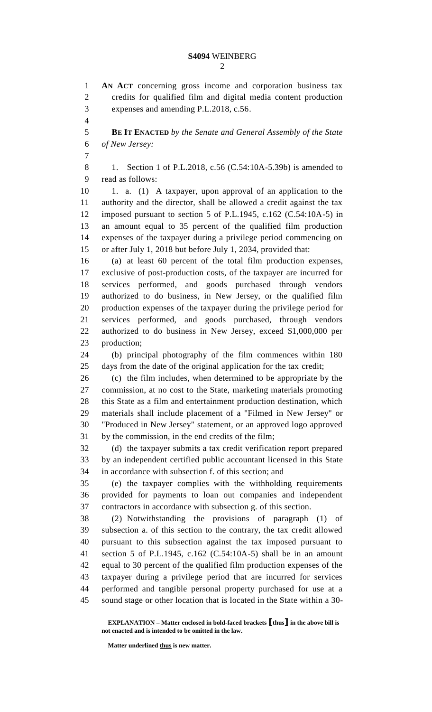**AN ACT** concerning gross income and corporation business tax credits for qualified film and digital media content production expenses and amending P.L.2018, c.56. **BE IT ENACTED** *by the Senate and General Assembly of the State of New Jersey:* 8 1. Section 1 of P.L.2018, c.56 (C.54:10A-5.39b) is amended to read as follows: 1. a. (1) A taxpayer, upon approval of an application to the authority and the director, shall be allowed a credit against the tax imposed pursuant to section 5 of P.L.1945, c.162 (C.54:10A-5) in an amount equal to 35 percent of the qualified film production expenses of the taxpayer during a privilege period commencing on or after July 1, 2018 but before July 1, 2034, provided that: (a) at least 60 percent of the total film production expenses, exclusive of post-production costs, of the taxpayer are incurred for services performed, and goods purchased through vendors authorized to do business, in New Jersey, or the qualified film production expenses of the taxpayer during the privilege period for services performed, and goods purchased, through vendors authorized to do business in New Jersey, exceed \$1,000,000 per production; (b) principal photography of the film commences within 180 days from the date of the original application for the tax credit; (c) the film includes, when determined to be appropriate by the commission, at no cost to the State, marketing materials promoting this State as a film and entertainment production destination, which materials shall include placement of a "Filmed in New Jersey" or "Produced in New Jersey" statement, or an approved logo approved by the commission, in the end credits of the film; (d) the taxpayer submits a tax credit verification report prepared by an independent certified public accountant licensed in this State in accordance with subsection f. of this section; and (e) the taxpayer complies with the withholding requirements provided for payments to loan out companies and independent contractors in accordance with subsection g. of this section. (2) Notwithstanding the provisions of paragraph (1) of subsection a. of this section to the contrary, the tax credit allowed pursuant to this subsection against the tax imposed pursuant to section 5 of P.L.1945, c.162 (C.54:10A-5) shall be in an amount equal to 30 percent of the qualified film production expenses of the taxpayer during a privilege period that are incurred for services performed and tangible personal property purchased for use at a

**EXPLANATION – Matter enclosed in bold-faced brackets [thus] in the above bill is not enacted and is intended to be omitted in the law.**

sound stage or other location that is located in the State within a 30-

**Matter underlined thus is new matter.**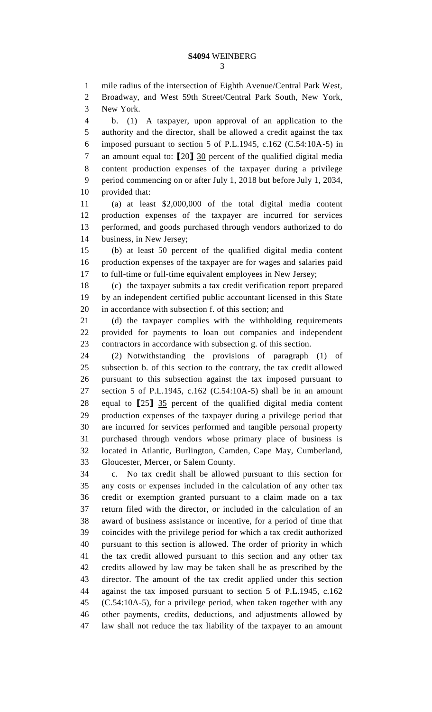mile radius of the intersection of Eighth Avenue/Central Park West,

 Broadway, and West 59th Street/Central Park South, New York, New York.

 b. (1) A taxpayer, upon approval of an application to the authority and the director, shall be allowed a credit against the tax imposed pursuant to section 5 of P.L.1945, c.162 (C.54:10A-5) in an amount equal to: **[**20**]** 30 percent of the qualified digital media content production expenses of the taxpayer during a privilege period commencing on or after July 1, 2018 but before July 1, 2034, provided that:

 (a) at least \$2,000,000 of the total digital media content production expenses of the taxpayer are incurred for services performed, and goods purchased through vendors authorized to do business, in New Jersey;

 (b) at least 50 percent of the qualified digital media content production expenses of the taxpayer are for wages and salaries paid to full-time or full-time equivalent employees in New Jersey;

 (c) the taxpayer submits a tax credit verification report prepared by an independent certified public accountant licensed in this State in accordance with subsection f. of this section; and

 (d) the taxpayer complies with the withholding requirements provided for payments to loan out companies and independent contractors in accordance with subsection g. of this section.

 (2) Notwithstanding the provisions of paragraph (1) of subsection b. of this section to the contrary, the tax credit allowed pursuant to this subsection against the tax imposed pursuant to section 5 of P.L.1945, c.162 (C.54:10A-5) shall be in an amount equal to **[**25**]** 35 percent of the qualified digital media content production expenses of the taxpayer during a privilege period that are incurred for services performed and tangible personal property purchased through vendors whose primary place of business is located in Atlantic, Burlington, Camden, Cape May, Cumberland, Gloucester, Mercer, or Salem County.

 c. No tax credit shall be allowed pursuant to this section for any costs or expenses included in the calculation of any other tax credit or exemption granted pursuant to a claim made on a tax return filed with the director, or included in the calculation of an award of business assistance or incentive, for a period of time that coincides with the privilege period for which a tax credit authorized pursuant to this section is allowed. The order of priority in which the tax credit allowed pursuant to this section and any other tax credits allowed by law may be taken shall be as prescribed by the director. The amount of the tax credit applied under this section against the tax imposed pursuant to section 5 of P.L.1945, c.162 (C.54:10A-5), for a privilege period, when taken together with any other payments, credits, deductions, and adjustments allowed by law shall not reduce the tax liability of the taxpayer to an amount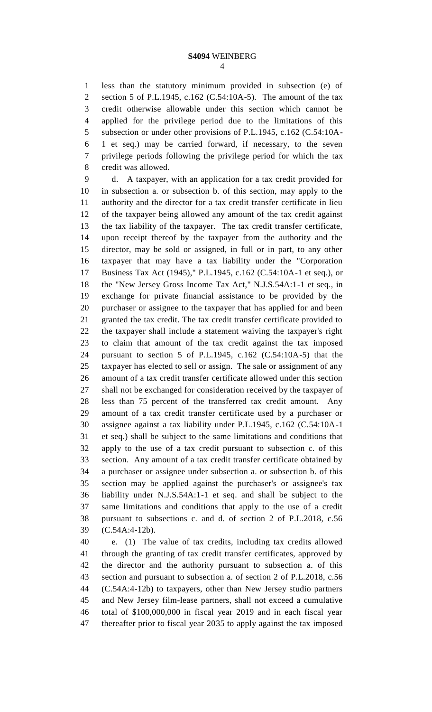less than the statutory minimum provided in subsection (e) of section 5 of P.L.1945, c.162 (C.54:10A-5). The amount of the tax credit otherwise allowable under this section which cannot be applied for the privilege period due to the limitations of this subsection or under other provisions of P.L.1945, c.162 (C.54:10A- 1 et seq.) may be carried forward, if necessary, to the seven privilege periods following the privilege period for which the tax credit was allowed.

 d. A taxpayer, with an application for a tax credit provided for in subsection a. or subsection b. of this section, may apply to the authority and the director for a tax credit transfer certificate in lieu of the taxpayer being allowed any amount of the tax credit against the tax liability of the taxpayer. The tax credit transfer certificate, upon receipt thereof by the taxpayer from the authority and the director, may be sold or assigned, in full or in part, to any other taxpayer that may have a tax liability under the "Corporation Business Tax Act (1945)," P.L.1945, c.162 (C.54:10A-1 et seq.), or the "New Jersey Gross Income Tax Act," N.J.S.54A:1-1 et seq., in exchange for private financial assistance to be provided by the purchaser or assignee to the taxpayer that has applied for and been granted the tax credit. The tax credit transfer certificate provided to the taxpayer shall include a statement waiving the taxpayer's right to claim that amount of the tax credit against the tax imposed pursuant to section 5 of P.L.1945, c.162 (C.54:10A-5) that the taxpayer has elected to sell or assign. The sale or assignment of any amount of a tax credit transfer certificate allowed under this section shall not be exchanged for consideration received by the taxpayer of less than 75 percent of the transferred tax credit amount. Any amount of a tax credit transfer certificate used by a purchaser or assignee against a tax liability under P.L.1945, c.162 (C.54:10A-1 et seq.) shall be subject to the same limitations and conditions that apply to the use of a tax credit pursuant to subsection c. of this section. Any amount of a tax credit transfer certificate obtained by a purchaser or assignee under subsection a. or subsection b. of this section may be applied against the purchaser's or assignee's tax liability under N.J.S.54A:1-1 et seq. and shall be subject to the same limitations and conditions that apply to the use of a credit pursuant to subsections c. and d. of section 2 of P.L.2018, c.56 (C.54A:4-12b).

 e. (1) The value of tax credits, including tax credits allowed through the granting of tax credit transfer certificates, approved by the director and the authority pursuant to subsection a. of this section and pursuant to subsection a. of section 2 of P.L.2018, c.56 (C.54A:4-12b) to taxpayers, other than New Jersey studio partners and New Jersey film-lease partners, shall not exceed a cumulative total of \$100,000,000 in fiscal year 2019 and in each fiscal year thereafter prior to fiscal year 2035 to apply against the tax imposed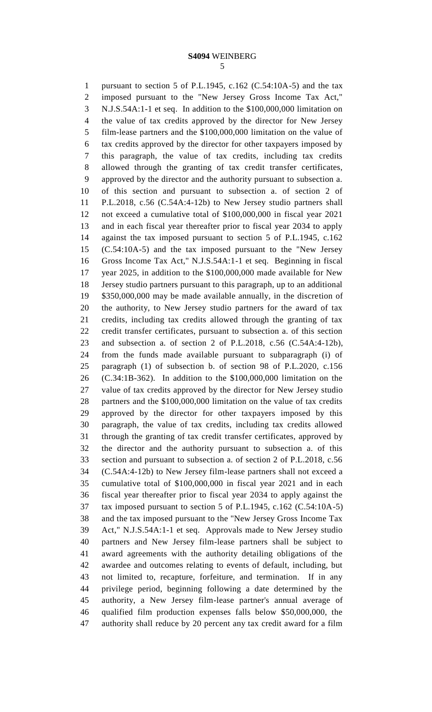pursuant to section 5 of P.L.1945, c.162 (C.54:10A-5) and the tax imposed pursuant to the "New Jersey Gross Income Tax Act," N.J.S.54A:1-1 et seq. In addition to the \$100,000,000 limitation on the value of tax credits approved by the director for New Jersey film-lease partners and the \$100,000,000 limitation on the value of tax credits approved by the director for other taxpayers imposed by this paragraph, the value of tax credits, including tax credits allowed through the granting of tax credit transfer certificates, approved by the director and the authority pursuant to subsection a. of this section and pursuant to subsection a. of section 2 of P.L.2018, c.56 (C.54A:4-12b) to New Jersey studio partners shall not exceed a cumulative total of \$100,000,000 in fiscal year 2021 and in each fiscal year thereafter prior to fiscal year 2034 to apply against the tax imposed pursuant to section 5 of P.L.1945, c.162 (C.54:10A-5) and the tax imposed pursuant to the "New Jersey Gross Income Tax Act," N.J.S.54A:1-1 et seq. Beginning in fiscal year 2025, in addition to the \$100,000,000 made available for New Jersey studio partners pursuant to this paragraph, up to an additional \$350,000,000 may be made available annually, in the discretion of the authority, to New Jersey studio partners for the award of tax credits, including tax credits allowed through the granting of tax credit transfer certificates, pursuant to subsection a. of this section and subsection a. of section 2 of P.L.2018, c.56 (C.54A:4-12b), from the funds made available pursuant to subparagraph (i) of paragraph (1) of subsection b. of section 98 of P.L.2020, c.156 (C.34:1B-362). In addition to the \$100,000,000 limitation on the value of tax credits approved by the director for New Jersey studio partners and the \$100,000,000 limitation on the value of tax credits approved by the director for other taxpayers imposed by this paragraph, the value of tax credits, including tax credits allowed through the granting of tax credit transfer certificates, approved by the director and the authority pursuant to subsection a. of this section and pursuant to subsection a. of section 2 of P.L.2018, c.56 (C.54A:4-12b) to New Jersey film-lease partners shall not exceed a cumulative total of \$100,000,000 in fiscal year 2021 and in each fiscal year thereafter prior to fiscal year 2034 to apply against the tax imposed pursuant to section 5 of P.L.1945, c.162 (C.54:10A-5) and the tax imposed pursuant to the "New Jersey Gross Income Tax Act," N.J.S.54A:1-1 et seq. Approvals made to New Jersey studio partners and New Jersey film-lease partners shall be subject to award agreements with the authority detailing obligations of the awardee and outcomes relating to events of default, including, but not limited to, recapture, forfeiture, and termination. If in any privilege period, beginning following a date determined by the authority, a New Jersey film-lease partner's annual average of qualified film production expenses falls below \$50,000,000, the authority shall reduce by 20 percent any tax credit award for a film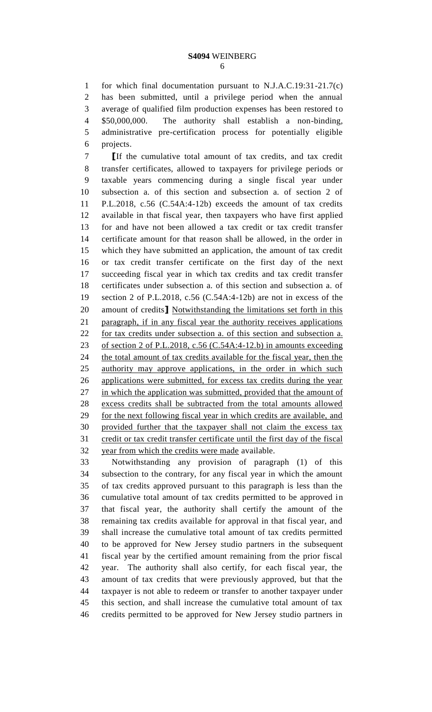for which final documentation pursuant to N.J.A.C.19:31-21.7(c) has been submitted, until a privilege period when the annual average of qualified film production expenses has been restored to \$50,000,000. The authority shall establish a non-binding, administrative pre-certification process for potentially eligible projects.

 **[**If the cumulative total amount of tax credits, and tax credit transfer certificates, allowed to taxpayers for privilege periods or taxable years commencing during a single fiscal year under subsection a. of this section and subsection a. of section 2 of P.L.2018, c.56 (C.54A:4-12b) exceeds the amount of tax credits available in that fiscal year, then taxpayers who have first applied for and have not been allowed a tax credit or tax credit transfer certificate amount for that reason shall be allowed, in the order in which they have submitted an application, the amount of tax credit or tax credit transfer certificate on the first day of the next succeeding fiscal year in which tax credits and tax credit transfer certificates under subsection a. of this section and subsection a. of section 2 of P.L.2018, c.56 (C.54A:4-12b) are not in excess of the amount of credits**]** Notwithstanding the limitations set forth in this paragraph, if in any fiscal year the authority receives applications for tax credits under subsection a. of this section and subsection a. 23 of section 2 of P.L.2018, c.56 (C.54A:4-12.b) in amounts exceeding 24 the total amount of tax credits available for the fiscal year, then the authority may approve applications, in the order in which such applications were submitted, for excess tax credits during the year 27 in which the application was submitted, provided that the amount of excess credits shall be subtracted from the total amounts allowed for the next following fiscal year in which credits are available, and provided further that the taxpayer shall not claim the excess tax credit or tax credit transfer certificate until the first day of the fiscal year from which the credits were made available.

 Notwithstanding any provision of paragraph (1) of this subsection to the contrary, for any fiscal year in which the amount of tax credits approved pursuant to this paragraph is less than the cumulative total amount of tax credits permitted to be approved in that fiscal year, the authority shall certify the amount of the remaining tax credits available for approval in that fiscal year, and shall increase the cumulative total amount of tax credits permitted to be approved for New Jersey studio partners in the subsequent fiscal year by the certified amount remaining from the prior fiscal year. The authority shall also certify, for each fiscal year, the amount of tax credits that were previously approved, but that the taxpayer is not able to redeem or transfer to another taxpayer under this section, and shall increase the cumulative total amount of tax credits permitted to be approved for New Jersey studio partners in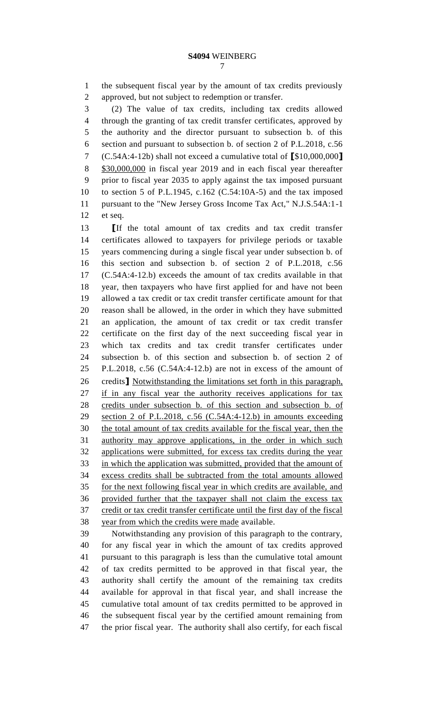the subsequent fiscal year by the amount of tax credits previously approved, but not subject to redemption or transfer.

 (2) The value of tax credits, including tax credits allowed through the granting of tax credit transfer certificates, approved by the authority and the director pursuant to subsection b. of this section and pursuant to subsection b. of section 2 of P.L.2018, c.56 (C.54A:4-12b) shall not exceed a cumulative total of **[**\$10,000,000**]** 8 \$30,000,000 in fiscal year 2019 and in each fiscal year thereafter prior to fiscal year 2035 to apply against the tax imposed pursuant to section 5 of P.L.1945, c.162 (C.54:10A-5) and the tax imposed pursuant to the "New Jersey Gross Income Tax Act," N.J.S.54A:1-1 et seq.

 **[**If the total amount of tax credits and tax credit transfer certificates allowed to taxpayers for privilege periods or taxable years commencing during a single fiscal year under subsection b. of this section and subsection b. of section 2 of P.L.2018, c.56 (C.54A:4-12.b) exceeds the amount of tax credits available in that year, then taxpayers who have first applied for and have not been allowed a tax credit or tax credit transfer certificate amount for that reason shall be allowed, in the order in which they have submitted an application, the amount of tax credit or tax credit transfer certificate on the first day of the next succeeding fiscal year in which tax credits and tax credit transfer certificates under subsection b. of this section and subsection b. of section 2 of P.L.2018, c.56 (C.54A:4-12.b) are not in excess of the amount of credits**]** Notwithstanding the limitations set forth in this paragraph, if in any fiscal year the authority receives applications for tax credits under subsection b. of this section and subsection b. of section 2 of P.L.2018, c.56 (C.54A:4-12.b) in amounts exceeding the total amount of tax credits available for the fiscal year, then the authority may approve applications, in the order in which such applications were submitted, for excess tax credits during the year in which the application was submitted, provided that the amount of excess credits shall be subtracted from the total amounts allowed for the next following fiscal year in which credits are available, and provided further that the taxpayer shall not claim the excess tax credit or tax credit transfer certificate until the first day of the fiscal year from which the credits were made available.

 Notwithstanding any provision of this paragraph to the contrary, for any fiscal year in which the amount of tax credits approved pursuant to this paragraph is less than the cumulative total amount of tax credits permitted to be approved in that fiscal year, the authority shall certify the amount of the remaining tax credits available for approval in that fiscal year, and shall increase the cumulative total amount of tax credits permitted to be approved in the subsequent fiscal year by the certified amount remaining from the prior fiscal year. The authority shall also certify, for each fiscal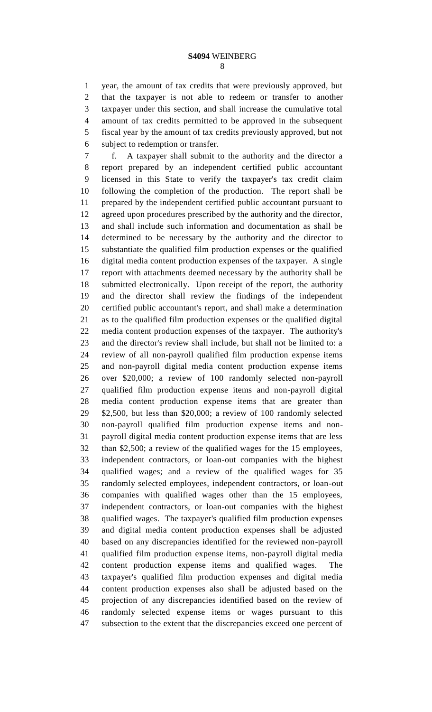year, the amount of tax credits that were previously approved, but that the taxpayer is not able to redeem or transfer to another taxpayer under this section, and shall increase the cumulative total amount of tax credits permitted to be approved in the subsequent fiscal year by the amount of tax credits previously approved, but not subject to redemption or transfer.

 f. A taxpayer shall submit to the authority and the director a report prepared by an independent certified public accountant licensed in this State to verify the taxpayer's tax credit claim following the completion of the production. The report shall be prepared by the independent certified public accountant pursuant to agreed upon procedures prescribed by the authority and the director, and shall include such information and documentation as shall be determined to be necessary by the authority and the director to substantiate the qualified film production expenses or the qualified digital media content production expenses of the taxpayer. A single report with attachments deemed necessary by the authority shall be submitted electronically. Upon receipt of the report, the authority and the director shall review the findings of the independent certified public accountant's report, and shall make a determination as to the qualified film production expenses or the qualified digital media content production expenses of the taxpayer. The authority's and the director's review shall include, but shall not be limited to: a review of all non-payroll qualified film production expense items and non-payroll digital media content production expense items over \$20,000; a review of 100 randomly selected non-payroll qualified film production expense items and non-payroll digital media content production expense items that are greater than \$2,500, but less than \$20,000; a review of 100 randomly selected non-payroll qualified film production expense items and non- payroll digital media content production expense items that are less than \$2,500; a review of the qualified wages for the 15 employees, independent contractors, or loan-out companies with the highest qualified wages; and a review of the qualified wages for 35 randomly selected employees, independent contractors, or loan-out companies with qualified wages other than the 15 employees, independent contractors, or loan-out companies with the highest qualified wages. The taxpayer's qualified film production expenses and digital media content production expenses shall be adjusted based on any discrepancies identified for the reviewed non-payroll qualified film production expense items, non-payroll digital media content production expense items and qualified wages. The taxpayer's qualified film production expenses and digital media content production expenses also shall be adjusted based on the projection of any discrepancies identified based on the review of randomly selected expense items or wages pursuant to this subsection to the extent that the discrepancies exceed one percent of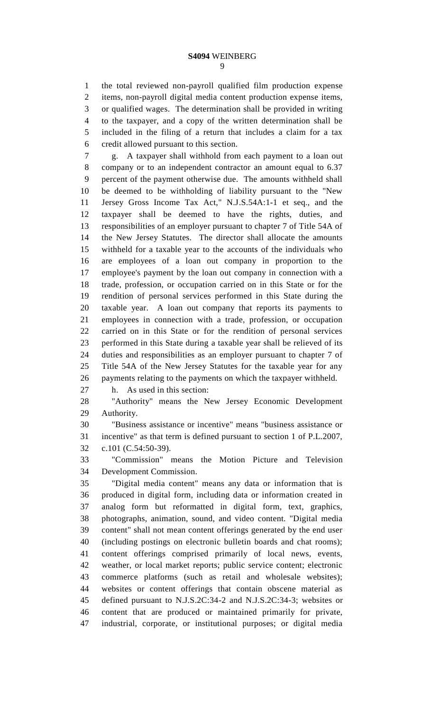the total reviewed non-payroll qualified film production expense items, non-payroll digital media content production expense items, or qualified wages. The determination shall be provided in writing to the taxpayer, and a copy of the written determination shall be included in the filing of a return that includes a claim for a tax credit allowed pursuant to this section.

 g. A taxpayer shall withhold from each payment to a loan out company or to an independent contractor an amount equal to 6.37 percent of the payment otherwise due. The amounts withheld shall be deemed to be withholding of liability pursuant to the "New Jersey Gross Income Tax Act," N.J.S.54A:1-1 et seq., and the taxpayer shall be deemed to have the rights, duties, and responsibilities of an employer pursuant to chapter 7 of Title 54A of the New Jersey Statutes. The director shall allocate the amounts withheld for a taxable year to the accounts of the individuals who are employees of a loan out company in proportion to the employee's payment by the loan out company in connection with a trade, profession, or occupation carried on in this State or for the rendition of personal services performed in this State during the taxable year. A loan out company that reports its payments to employees in connection with a trade, profession, or occupation carried on in this State or for the rendition of personal services performed in this State during a taxable year shall be relieved of its duties and responsibilities as an employer pursuant to chapter 7 of Title 54A of the New Jersey Statutes for the taxable year for any payments relating to the payments on which the taxpayer withheld.

h. As used in this section:

 "Authority" means the New Jersey Economic Development Authority.

 "Business assistance or incentive" means "business assistance or incentive" as that term is defined pursuant to section 1 of P.L.2007, c.101 (C.54:50-39).

 "Commission" means the Motion Picture and Television Development Commission.

 "Digital media content" means any data or information that is produced in digital form, including data or information created in analog form but reformatted in digital form, text, graphics, photographs, animation, sound, and video content. "Digital media content" shall not mean content offerings generated by the end user (including postings on electronic bulletin boards and chat rooms); content offerings comprised primarily of local news, events, weather, or local market reports; public service content; electronic commerce platforms (such as retail and wholesale websites); websites or content offerings that contain obscene material as defined pursuant to N.J.S.2C:34-2 and N.J.S.2C:34-3; websites or content that are produced or maintained primarily for private, industrial, corporate, or institutional purposes; or digital media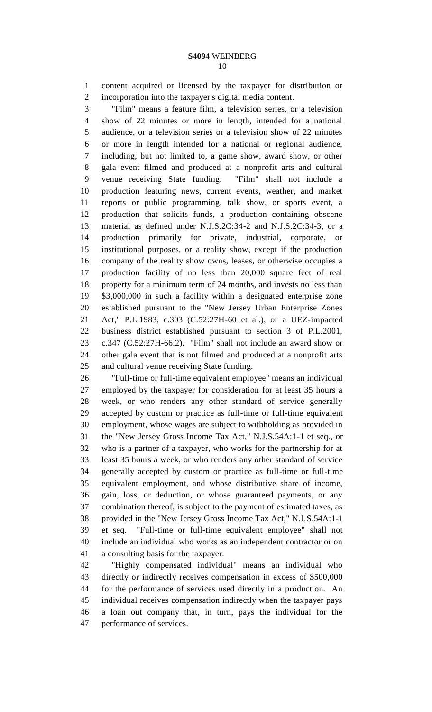content acquired or licensed by the taxpayer for distribution or incorporation into the taxpayer's digital media content.

 "Film" means a feature film, a television series, or a television show of 22 minutes or more in length, intended for a national audience, or a television series or a television show of 22 minutes or more in length intended for a national or regional audience, including, but not limited to, a game show, award show, or other gala event filmed and produced at a nonprofit arts and cultural venue receiving State funding. "Film" shall not include a production featuring news, current events, weather, and market reports or public programming, talk show, or sports event, a production that solicits funds, a production containing obscene material as defined under N.J.S.2C:34-2 and N.J.S.2C:34-3, or a production primarily for private, industrial, corporate, or institutional purposes, or a reality show, except if the production company of the reality show owns, leases, or otherwise occupies a production facility of no less than 20,000 square feet of real property for a minimum term of 24 months, and invests no less than \$3,000,000 in such a facility within a designated enterprise zone established pursuant to the "New Jersey Urban Enterprise Zones Act," P.L.1983, c.303 (C.52:27H-60 et al.), or a UEZ-impacted business district established pursuant to section 3 of P.L.2001, c.347 (C.52:27H-66.2). "Film" shall not include an award show or other gala event that is not filmed and produced at a nonprofit arts and cultural venue receiving State funding.

 "Full-time or full-time equivalent employee" means an individual employed by the taxpayer for consideration for at least 35 hours a week, or who renders any other standard of service generally accepted by custom or practice as full-time or full-time equivalent employment, whose wages are subject to withholding as provided in the "New Jersey Gross Income Tax Act," N.J.S.54A:1-1 et seq., or who is a partner of a taxpayer, who works for the partnership for at least 35 hours a week, or who renders any other standard of service generally accepted by custom or practice as full-time or full-time equivalent employment, and whose distributive share of income, gain, loss, or deduction, or whose guaranteed payments, or any combination thereof, is subject to the payment of estimated taxes, as provided in the "New Jersey Gross Income Tax Act," N.J.S.54A:1-1 et seq. "Full-time or full-time equivalent employee" shall not include an individual who works as an independent contractor or on a consulting basis for the taxpayer.

 "Highly compensated individual" means an individual who directly or indirectly receives compensation in excess of \$500,000 for the performance of services used directly in a production. An individual receives compensation indirectly when the taxpayer pays a loan out company that, in turn, pays the individual for the performance of services.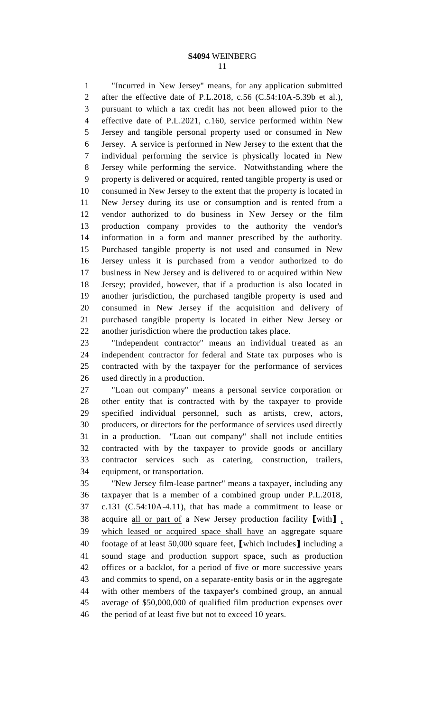"Incurred in New Jersey" means, for any application submitted after the effective date of P.L.2018, c.56 (C.54:10A-5.39b et al.), pursuant to which a tax credit has not been allowed prior to the effective date of P.L.2021, c.160, service performed within New Jersey and tangible personal property used or consumed in New Jersey. A service is performed in New Jersey to the extent that the individual performing the service is physically located in New Jersey while performing the service. Notwithstanding where the property is delivered or acquired, rented tangible property is used or consumed in New Jersey to the extent that the property is located in New Jersey during its use or consumption and is rented from a vendor authorized to do business in New Jersey or the film production company provides to the authority the vendor's information in a form and manner prescribed by the authority. Purchased tangible property is not used and consumed in New Jersey unless it is purchased from a vendor authorized to do business in New Jersey and is delivered to or acquired within New Jersey; provided, however, that if a production is also located in another jurisdiction, the purchased tangible property is used and consumed in New Jersey if the acquisition and delivery of purchased tangible property is located in either New Jersey or another jurisdiction where the production takes place.

 "Independent contractor" means an individual treated as an independent contractor for federal and State tax purposes who is contracted with by the taxpayer for the performance of services used directly in a production.

 "Loan out company" means a personal service corporation or other entity that is contracted with by the taxpayer to provide specified individual personnel, such as artists, crew, actors, producers, or directors for the performance of services used directly in a production. "Loan out company" shall not include entities contracted with by the taxpayer to provide goods or ancillary contractor services such as catering, construction, trailers, equipment, or transportation.

 "New Jersey film-lease partner" means a taxpayer, including any taxpayer that is a member of a combined group under P.L.2018, c.131 (C.54:10A-4.11), that has made a commitment to lease or acquire all or part of a New Jersey production facility **[**with**]** , which leased or acquired space shall have an aggregate square footage of at least 50,000 square feet, **[**which includes**]** including a sound stage and production support space, such as production offices or a backlot, for a period of five or more successive years and commits to spend, on a separate-entity basis or in the aggregate with other members of the taxpayer's combined group, an annual average of \$50,000,000 of qualified film production expenses over the period of at least five but not to exceed 10 years.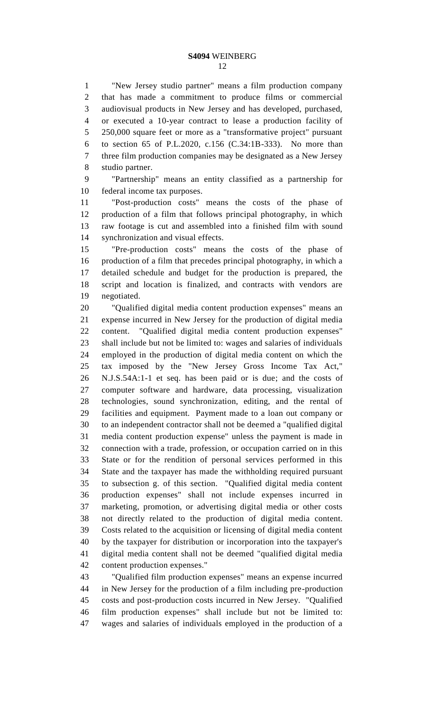"New Jersey studio partner" means a film production company that has made a commitment to produce films or commercial audiovisual products in New Jersey and has developed, purchased, or executed a 10-year contract to lease a production facility of 250,000 square feet or more as a "transformative project" pursuant to section 65 of P.L.2020, c.156 (C.34:1B-333). No more than three film production companies may be designated as a New Jersey studio partner.

 "Partnership" means an entity classified as a partnership for federal income tax purposes.

 "Post-production costs" means the costs of the phase of production of a film that follows principal photography, in which raw footage is cut and assembled into a finished film with sound synchronization and visual effects.

 "Pre-production costs" means the costs of the phase of production of a film that precedes principal photography, in which a detailed schedule and budget for the production is prepared, the script and location is finalized, and contracts with vendors are negotiated.

 "Qualified digital media content production expenses" means an expense incurred in New Jersey for the production of digital media content. "Qualified digital media content production expenses" shall include but not be limited to: wages and salaries of individuals employed in the production of digital media content on which the tax imposed by the "New Jersey Gross Income Tax Act," N.J.S.54A:1-1 et seq. has been paid or is due; and the costs of computer software and hardware, data processing, visualization technologies, sound synchronization, editing, and the rental of facilities and equipment. Payment made to a loan out company or to an independent contractor shall not be deemed a "qualified digital media content production expense" unless the payment is made in connection with a trade, profession, or occupation carried on in this State or for the rendition of personal services performed in this State and the taxpayer has made the withholding required pursuant to subsection g. of this section. "Qualified digital media content production expenses" shall not include expenses incurred in marketing, promotion, or advertising digital media or other costs not directly related to the production of digital media content. Costs related to the acquisition or licensing of digital media content by the taxpayer for distribution or incorporation into the taxpayer's digital media content shall not be deemed "qualified digital media content production expenses."

 "Qualified film production expenses" means an expense incurred in New Jersey for the production of a film including pre-production costs and post-production costs incurred in New Jersey. "Qualified film production expenses" shall include but not be limited to: wages and salaries of individuals employed in the production of a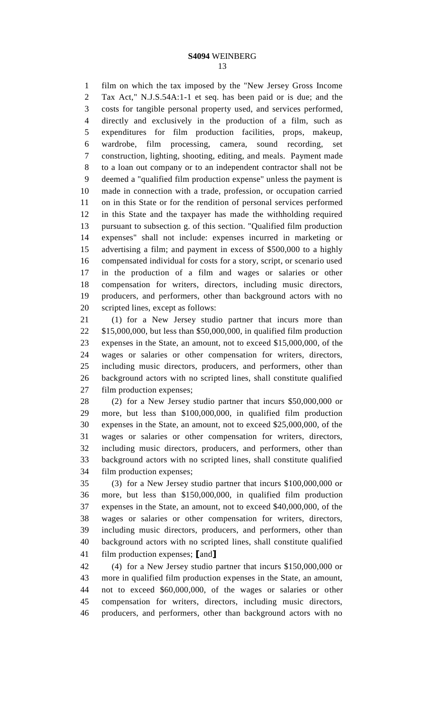film on which the tax imposed by the "New Jersey Gross Income Tax Act," N.J.S.54A:1-1 et seq. has been paid or is due; and the costs for tangible personal property used, and services performed, directly and exclusively in the production of a film, such as expenditures for film production facilities, props, makeup, wardrobe, film processing, camera, sound recording, set construction, lighting, shooting, editing, and meals. Payment made to a loan out company or to an independent contractor shall not be deemed a "qualified film production expense" unless the payment is made in connection with a trade, profession, or occupation carried on in this State or for the rendition of personal services performed in this State and the taxpayer has made the withholding required pursuant to subsection g. of this section. "Qualified film production expenses" shall not include: expenses incurred in marketing or advertising a film; and payment in excess of \$500,000 to a highly compensated individual for costs for a story, script, or scenario used in the production of a film and wages or salaries or other compensation for writers, directors, including music directors, producers, and performers, other than background actors with no scripted lines, except as follows:

 (1) for a New Jersey studio partner that incurs more than \$15,000,000, but less than \$50,000,000, in qualified film production expenses in the State, an amount, not to exceed \$15,000,000, of the wages or salaries or other compensation for writers, directors, including music directors, producers, and performers, other than background actors with no scripted lines, shall constitute qualified film production expenses;

 (2) for a New Jersey studio partner that incurs \$50,000,000 or more, but less than \$100,000,000, in qualified film production expenses in the State, an amount, not to exceed \$25,000,000, of the wages or salaries or other compensation for writers, directors, including music directors, producers, and performers, other than background actors with no scripted lines, shall constitute qualified film production expenses;

 (3) for a New Jersey studio partner that incurs \$100,000,000 or more, but less than \$150,000,000, in qualified film production expenses in the State, an amount, not to exceed \$40,000,000, of the wages or salaries or other compensation for writers, directors, including music directors, producers, and performers, other than background actors with no scripted lines, shall constitute qualified film production expenses; **[**and**]**

 (4) for a New Jersey studio partner that incurs \$150,000,000 or more in qualified film production expenses in the State, an amount, not to exceed \$60,000,000, of the wages or salaries or other compensation for writers, directors, including music directors, producers, and performers, other than background actors with no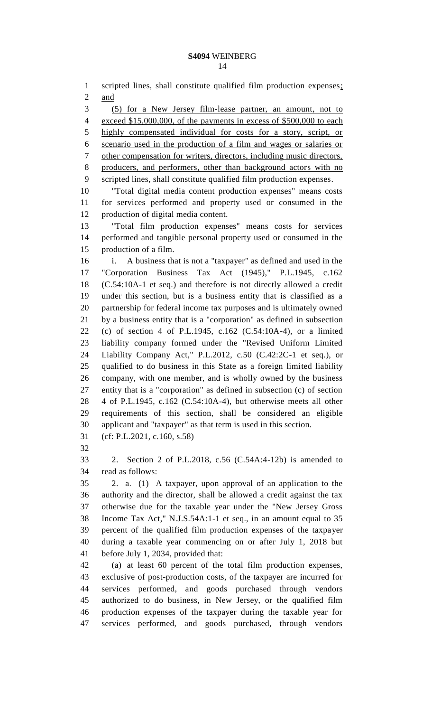1 scripted lines, shall constitute qualified film production expenses; and (5) for a New Jersey film-lease partner, an amount, not to exceed \$15,000,000, of the payments in excess of \$500,000 to each highly compensated individual for costs for a story, script, or scenario used in the production of a film and wages or salaries or other compensation for writers, directors, including music directors, producers, and performers, other than background actors with no scripted lines, shall constitute qualified film production expenses. "Total digital media content production expenses" means costs for services performed and property used or consumed in the production of digital media content. "Total film production expenses" means costs for services performed and tangible personal property used or consumed in the production of a film. i. A business that is not a "taxpayer" as defined and used in the "Corporation Business Tax Act (1945)," P.L.1945, c.162 (C.54:10A-1 et seq.) and therefore is not directly allowed a credit under this section, but is a business entity that is classified as a partnership for federal income tax purposes and is ultimately owned by a business entity that is a "corporation" as defined in subsection (c) of section 4 of P.L.1945, c.162 (C.54:10A-4), or a limited liability company formed under the "Revised Uniform Limited Liability Company Act," P.L.2012, c.50 (C.42:2C-1 et seq.), or qualified to do business in this State as a foreign limited liability company, with one member, and is wholly owned by the business

 entity that is a "corporation" as defined in subsection (c) of section 4 of P.L.1945, c.162 (C.54:10A-4), but otherwise meets all other requirements of this section, shall be considered an eligible applicant and "taxpayer" as that term is used in this section.

- (cf: P.L.2021, c.160, s.58)
- 

 2. Section 2 of P.L.2018, c.56 (C.54A:4-12b) is amended to read as follows:

 2. a. (1) A taxpayer, upon approval of an application to the authority and the director, shall be allowed a credit against the tax otherwise due for the taxable year under the "New Jersey Gross Income Tax Act," N.J.S.54A:1-1 et seq., in an amount equal to 35 percent of the qualified film production expenses of the taxpayer during a taxable year commencing on or after July 1, 2018 but before July 1, 2034, provided that:

 (a) at least 60 percent of the total film production expenses, exclusive of post-production costs, of the taxpayer are incurred for services performed, and goods purchased through vendors authorized to do business, in New Jersey, or the qualified film production expenses of the taxpayer during the taxable year for services performed, and goods purchased, through vendors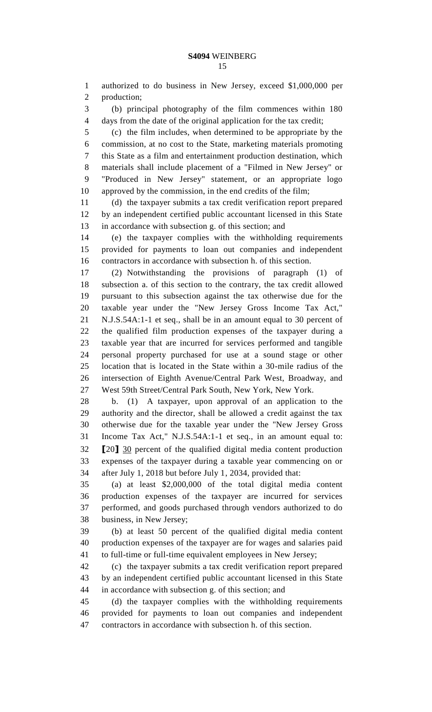authorized to do business in New Jersey, exceed \$1,000,000 per production;

 (b) principal photography of the film commences within 180 days from the date of the original application for the tax credit;

 (c) the film includes, when determined to be appropriate by the commission, at no cost to the State, marketing materials promoting this State as a film and entertainment production destination, which materials shall include placement of a "Filmed in New Jersey" or "Produced in New Jersey" statement, or an appropriate logo approved by the commission, in the end credits of the film;

 (d) the taxpayer submits a tax credit verification report prepared by an independent certified public accountant licensed in this State in accordance with subsection g. of this section; and

 (e) the taxpayer complies with the withholding requirements provided for payments to loan out companies and independent contractors in accordance with subsection h. of this section.

 (2) Notwithstanding the provisions of paragraph (1) of subsection a. of this section to the contrary, the tax credit allowed pursuant to this subsection against the tax otherwise due for the taxable year under the "New Jersey Gross Income Tax Act," N.J.S.54A:1-1 et seq., shall be in an amount equal to 30 percent of the qualified film production expenses of the taxpayer during a taxable year that are incurred for services performed and tangible personal property purchased for use at a sound stage or other location that is located in the State within a 30-mile radius of the intersection of Eighth Avenue/Central Park West, Broadway, and West 59th Street/Central Park South, New York, New York.

 b. (1) A taxpayer, upon approval of an application to the authority and the director, shall be allowed a credit against the tax otherwise due for the taxable year under the "New Jersey Gross Income Tax Act," N.J.S.54A:1-1 et seq., in an amount equal to: **[**20**]** 30 percent of the qualified digital media content production expenses of the taxpayer during a taxable year commencing on or after July 1, 2018 but before July 1, 2034, provided that:

 (a) at least \$2,000,000 of the total digital media content production expenses of the taxpayer are incurred for services performed, and goods purchased through vendors authorized to do business, in New Jersey;

 (b) at least 50 percent of the qualified digital media content production expenses of the taxpayer are for wages and salaries paid to full-time or full-time equivalent employees in New Jersey;

 (c) the taxpayer submits a tax credit verification report prepared by an independent certified public accountant licensed in this State in accordance with subsection g. of this section; and

 (d) the taxpayer complies with the withholding requirements provided for payments to loan out companies and independent contractors in accordance with subsection h. of this section.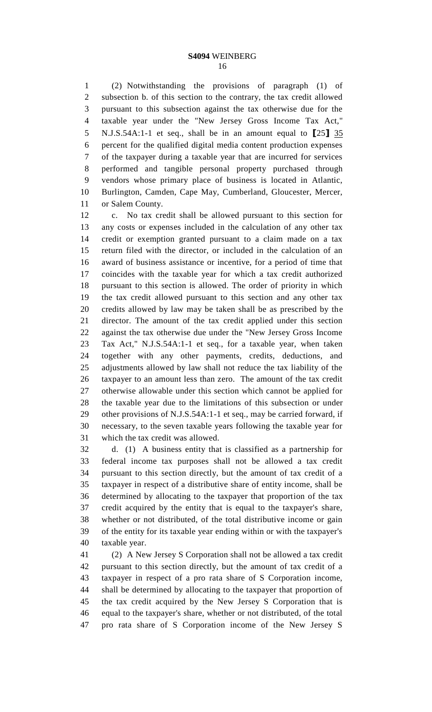(2) Notwithstanding the provisions of paragraph (1) of subsection b. of this section to the contrary, the tax credit allowed pursuant to this subsection against the tax otherwise due for the taxable year under the "New Jersey Gross Income Tax Act," N.J.S.54A:1-1 et seq., shall be in an amount equal to **[**25**]** 35 percent for the qualified digital media content production expenses of the taxpayer during a taxable year that are incurred for services performed and tangible personal property purchased through vendors whose primary place of business is located in Atlantic, Burlington, Camden, Cape May, Cumberland, Gloucester, Mercer, or Salem County.

 c. No tax credit shall be allowed pursuant to this section for any costs or expenses included in the calculation of any other tax credit or exemption granted pursuant to a claim made on a tax return filed with the director, or included in the calculation of an award of business assistance or incentive, for a period of time that coincides with the taxable year for which a tax credit authorized pursuant to this section is allowed. The order of priority in which the tax credit allowed pursuant to this section and any other tax credits allowed by law may be taken shall be as prescribed by the director. The amount of the tax credit applied under this section against the tax otherwise due under the "New Jersey Gross Income Tax Act," N.J.S.54A:1-1 et seq., for a taxable year, when taken together with any other payments, credits, deductions, and adjustments allowed by law shall not reduce the tax liability of the taxpayer to an amount less than zero. The amount of the tax credit otherwise allowable under this section which cannot be applied for the taxable year due to the limitations of this subsection or under other provisions of N.J.S.54A:1-1 et seq., may be carried forward, if necessary, to the seven taxable years following the taxable year for which the tax credit was allowed.

 d. (1) A business entity that is classified as a partnership for federal income tax purposes shall not be allowed a tax credit pursuant to this section directly, but the amount of tax credit of a taxpayer in respect of a distributive share of entity income, shall be determined by allocating to the taxpayer that proportion of the tax credit acquired by the entity that is equal to the taxpayer's share, whether or not distributed, of the total distributive income or gain of the entity for its taxable year ending within or with the taxpayer's taxable year.

 (2) A New Jersey S Corporation shall not be allowed a tax credit pursuant to this section directly, but the amount of tax credit of a taxpayer in respect of a pro rata share of S Corporation income, shall be determined by allocating to the taxpayer that proportion of the tax credit acquired by the New Jersey S Corporation that is equal to the taxpayer's share, whether or not distributed, of the total pro rata share of S Corporation income of the New Jersey S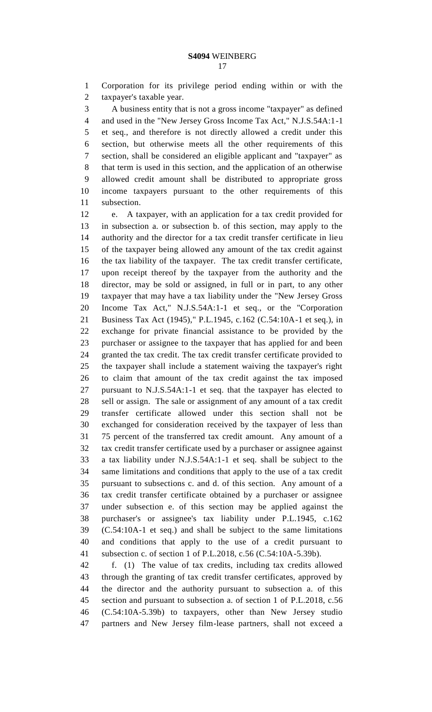Corporation for its privilege period ending within or with the taxpayer's taxable year.

 A business entity that is not a gross income "taxpayer" as defined and used in the "New Jersey Gross Income Tax Act," N.J.S.54A:1-1 et seq., and therefore is not directly allowed a credit under this section, but otherwise meets all the other requirements of this section, shall be considered an eligible applicant and "taxpayer" as that term is used in this section, and the application of an otherwise allowed credit amount shall be distributed to appropriate gross income taxpayers pursuant to the other requirements of this subsection.

 e. A taxpayer, with an application for a tax credit provided for in subsection a. or subsection b. of this section, may apply to the authority and the director for a tax credit transfer certificate in lieu of the taxpayer being allowed any amount of the tax credit against the tax liability of the taxpayer. The tax credit transfer certificate, upon receipt thereof by the taxpayer from the authority and the director, may be sold or assigned, in full or in part, to any other taxpayer that may have a tax liability under the "New Jersey Gross Income Tax Act," N.J.S.54A:1-1 et seq., or the "Corporation Business Tax Act (1945)," P.L.1945, c.162 (C.54:10A-1 et seq.), in exchange for private financial assistance to be provided by the purchaser or assignee to the taxpayer that has applied for and been granted the tax credit. The tax credit transfer certificate provided to the taxpayer shall include a statement waiving the taxpayer's right to claim that amount of the tax credit against the tax imposed pursuant to N.J.S.54A:1-1 et seq. that the taxpayer has elected to sell or assign. The sale or assignment of any amount of a tax credit transfer certificate allowed under this section shall not be exchanged for consideration received by the taxpayer of less than 75 percent of the transferred tax credit amount. Any amount of a tax credit transfer certificate used by a purchaser or assignee against a tax liability under N.J.S.54A:1-1 et seq. shall be subject to the same limitations and conditions that apply to the use of a tax credit pursuant to subsections c. and d. of this section. Any amount of a tax credit transfer certificate obtained by a purchaser or assignee under subsection e. of this section may be applied against the purchaser's or assignee's tax liability under P.L.1945, c.162 (C.54:10A-1 et seq.) and shall be subject to the same limitations and conditions that apply to the use of a credit pursuant to subsection c. of section 1 of P.L.2018, c.56 (C.54:10A-5.39b).

 f. (1) The value of tax credits, including tax credits allowed through the granting of tax credit transfer certificates, approved by the director and the authority pursuant to subsection a. of this section and pursuant to subsection a. of section 1 of P.L.2018, c.56 (C.54:10A-5.39b) to taxpayers, other than New Jersey studio partners and New Jersey film-lease partners, shall not exceed a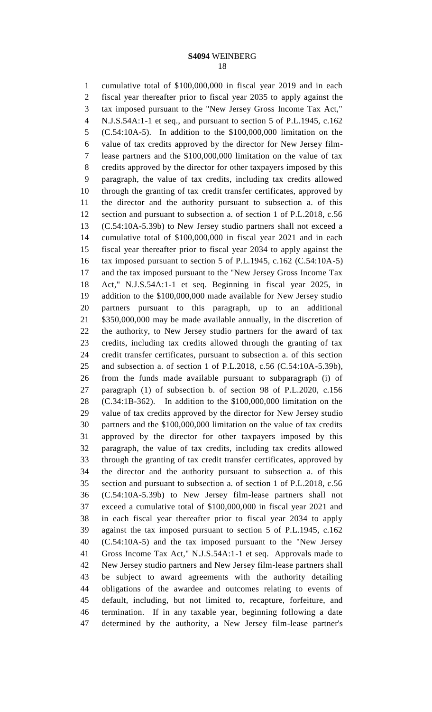cumulative total of \$100,000,000 in fiscal year 2019 and in each fiscal year thereafter prior to fiscal year 2035 to apply against the tax imposed pursuant to the "New Jersey Gross Income Tax Act," N.J.S.54A:1-1 et seq., and pursuant to section 5 of P.L.1945, c.162 (C.54:10A-5). In addition to the \$100,000,000 limitation on the value of tax credits approved by the director for New Jersey film- lease partners and the \$100,000,000 limitation on the value of tax credits approved by the director for other taxpayers imposed by this paragraph, the value of tax credits, including tax credits allowed through the granting of tax credit transfer certificates, approved by the director and the authority pursuant to subsection a. of this section and pursuant to subsection a. of section 1 of P.L.2018, c.56 (C.54:10A-5.39b) to New Jersey studio partners shall not exceed a cumulative total of \$100,000,000 in fiscal year 2021 and in each fiscal year thereafter prior to fiscal year 2034 to apply against the tax imposed pursuant to section 5 of P.L.1945, c.162 (C.54:10A-5) and the tax imposed pursuant to the "New Jersey Gross Income Tax Act," N.J.S.54A:1-1 et seq. Beginning in fiscal year 2025, in addition to the \$100,000,000 made available for New Jersey studio partners pursuant to this paragraph, up to an additional \$350,000,000 may be made available annually, in the discretion of the authority, to New Jersey studio partners for the award of tax credits, including tax credits allowed through the granting of tax credit transfer certificates, pursuant to subsection a. of this section and subsection a. of section 1 of P.L.2018, c.56 (C.54:10A-5.39b), from the funds made available pursuant to subparagraph (i) of paragraph (1) of subsection b. of section 98 of P.L.2020, c.156 (C.34:1B-362). In addition to the \$100,000,000 limitation on the value of tax credits approved by the director for New Jersey studio partners and the \$100,000,000 limitation on the value of tax credits approved by the director for other taxpayers imposed by this paragraph, the value of tax credits, including tax credits allowed through the granting of tax credit transfer certificates, approved by the director and the authority pursuant to subsection a. of this section and pursuant to subsection a. of section 1 of P.L.2018, c.56 (C.54:10A-5.39b) to New Jersey film-lease partners shall not exceed a cumulative total of \$100,000,000 in fiscal year 2021 and in each fiscal year thereafter prior to fiscal year 2034 to apply against the tax imposed pursuant to section 5 of P.L.1945, c.162 (C.54:10A-5) and the tax imposed pursuant to the "New Jersey Gross Income Tax Act," N.J.S.54A:1-1 et seq. Approvals made to New Jersey studio partners and New Jersey film-lease partners shall be subject to award agreements with the authority detailing obligations of the awardee and outcomes relating to events of default, including, but not limited to, recapture, forfeiture, and termination. If in any taxable year, beginning following a date determined by the authority, a New Jersey film-lease partner's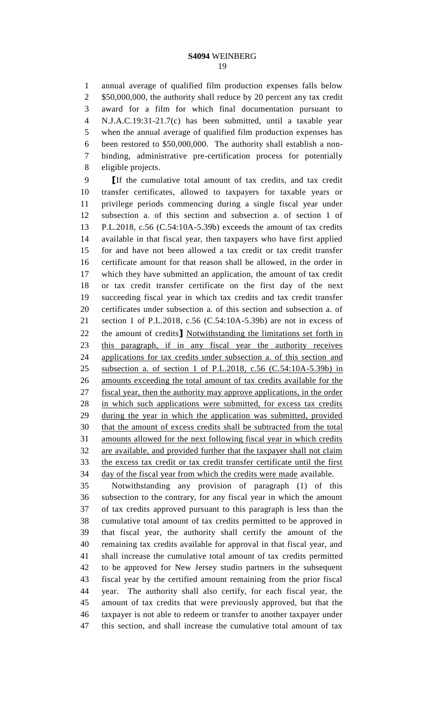annual average of qualified film production expenses falls below 2 \$50,000,000, the authority shall reduce by 20 percent any tax credit award for a film for which final documentation pursuant to N.J.A.C.19:31-21.7(c) has been submitted, until a taxable year when the annual average of qualified film production expenses has been restored to \$50,000,000. The authority shall establish a non- binding, administrative pre-certification process for potentially eligible projects.

 **[**If the cumulative total amount of tax credits, and tax credit transfer certificates, allowed to taxpayers for taxable years or privilege periods commencing during a single fiscal year under subsection a. of this section and subsection a. of section 1 of P.L.2018, c.56 (C.54:10A-5.39b) exceeds the amount of tax credits available in that fiscal year, then taxpayers who have first applied for and have not been allowed a tax credit or tax credit transfer certificate amount for that reason shall be allowed, in the order in which they have submitted an application, the amount of tax credit or tax credit transfer certificate on the first day of the next succeeding fiscal year in which tax credits and tax credit transfer certificates under subsection a. of this section and subsection a. of section 1 of P.L.2018, c.56 (C.54:10A-5.39b) are not in excess of the amount of credits**]** Notwithstanding the limitations set forth in this paragraph, if in any fiscal year the authority receives applications for tax credits under subsection a. of this section and subsection a. of section 1 of P.L.2018, c.56 (C.54:10A-5.39b) in amounts exceeding the total amount of tax credits available for the fiscal year, then the authority may approve applications, in the order in which such applications were submitted, for excess tax credits during the year in which the application was submitted, provided that the amount of excess credits shall be subtracted from the total amounts allowed for the next following fiscal year in which credits are available, and provided further that the taxpayer shall not claim the excess tax credit or tax credit transfer certificate until the first day of the fiscal year from which the credits were made available.

 Notwithstanding any provision of paragraph (1) of this subsection to the contrary, for any fiscal year in which the amount of tax credits approved pursuant to this paragraph is less than the cumulative total amount of tax credits permitted to be approved in that fiscal year, the authority shall certify the amount of the remaining tax credits available for approval in that fiscal year, and shall increase the cumulative total amount of tax credits permitted to be approved for New Jersey studio partners in the subsequent fiscal year by the certified amount remaining from the prior fiscal year. The authority shall also certify, for each fiscal year, the amount of tax credits that were previously approved, but that the taxpayer is not able to redeem or transfer to another taxpayer under this section, and shall increase the cumulative total amount of tax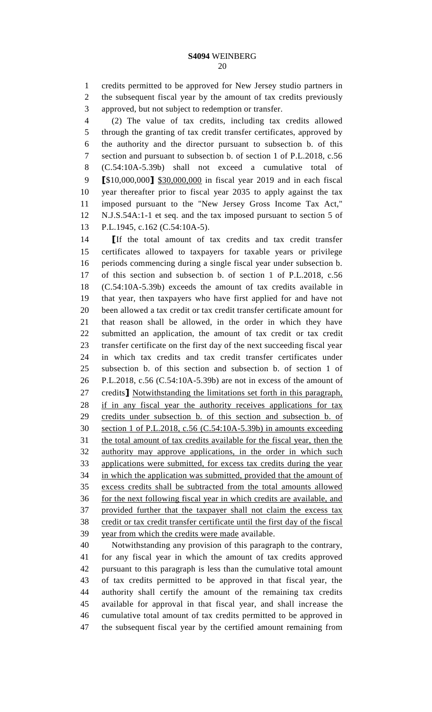credits permitted to be approved for New Jersey studio partners in the subsequent fiscal year by the amount of tax credits previously approved, but not subject to redemption or transfer.

 (2) The value of tax credits, including tax credits allowed through the granting of tax credit transfer certificates, approved by the authority and the director pursuant to subsection b. of this section and pursuant to subsection b. of section 1 of P.L.2018, c.56 (C.54:10A-5.39b) shall not exceed a cumulative total of **[**\$10,000,000**]** \$30,000,000 in fiscal year 2019 and in each fiscal year thereafter prior to fiscal year 2035 to apply against the tax imposed pursuant to the "New Jersey Gross Income Tax Act," N.J.S.54A:1-1 et seq. and the tax imposed pursuant to section 5 of P.L.1945, c.162 (C.54:10A-5).

 **[**If the total amount of tax credits and tax credit transfer certificates allowed to taxpayers for taxable years or privilege periods commencing during a single fiscal year under subsection b. of this section and subsection b. of section 1 of P.L.2018, c.56 (C.54:10A-5.39b) exceeds the amount of tax credits available in that year, then taxpayers who have first applied for and have not been allowed a tax credit or tax credit transfer certificate amount for that reason shall be allowed, in the order in which they have submitted an application, the amount of tax credit or tax credit transfer certificate on the first day of the next succeeding fiscal year in which tax credits and tax credit transfer certificates under subsection b. of this section and subsection b. of section 1 of P.L.2018, c.56 (C.54:10A-5.39b) are not in excess of the amount of credits**]** Notwithstanding the limitations set forth in this paragraph, if in any fiscal year the authority receives applications for tax credits under subsection b. of this section and subsection b. of section 1 of P.L.2018, c.56 (C.54:10A-5.39b) in amounts exceeding the total amount of tax credits available for the fiscal year, then the authority may approve applications, in the order in which such applications were submitted, for excess tax credits during the year in which the application was submitted, provided that the amount of excess credits shall be subtracted from the total amounts allowed for the next following fiscal year in which credits are available, and provided further that the taxpayer shall not claim the excess tax credit or tax credit transfer certificate until the first day of the fiscal year from which the credits were made available.

 Notwithstanding any provision of this paragraph to the contrary, for any fiscal year in which the amount of tax credits approved pursuant to this paragraph is less than the cumulative total amount of tax credits permitted to be approved in that fiscal year, the authority shall certify the amount of the remaining tax credits available for approval in that fiscal year, and shall increase the cumulative total amount of tax credits permitted to be approved in the subsequent fiscal year by the certified amount remaining from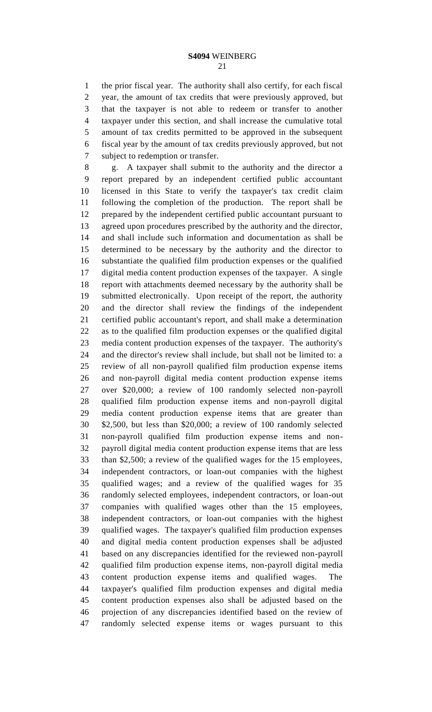the prior fiscal year. The authority shall also certify, for each fiscal year, the amount of tax credits that were previously approved, but that the taxpayer is not able to redeem or transfer to another taxpayer under this section, and shall increase the cumulative total amount of tax credits permitted to be approved in the subsequent fiscal year by the amount of tax credits previously approved, but not subject to redemption or transfer.

 g. A taxpayer shall submit to the authority and the director a report prepared by an independent certified public accountant licensed in this State to verify the taxpayer's tax credit claim following the completion of the production. The report shall be prepared by the independent certified public accountant pursuant to agreed upon procedures prescribed by the authority and the director, and shall include such information and documentation as shall be determined to be necessary by the authority and the director to substantiate the qualified film production expenses or the qualified digital media content production expenses of the taxpayer. A single report with attachments deemed necessary by the authority shall be submitted electronically. Upon receipt of the report, the authority and the director shall review the findings of the independent certified public accountant's report, and shall make a determination as to the qualified film production expenses or the qualified digital media content production expenses of the taxpayer. The authority's and the director's review shall include, but shall not be limited to: a review of all non-payroll qualified film production expense items and non-payroll digital media content production expense items over \$20,000; a review of 100 randomly selected non-payroll qualified film production expense items and non-payroll digital media content production expense items that are greater than \$2,500, but less than \$20,000; a review of 100 randomly selected non-payroll qualified film production expense items and non- payroll digital media content production expense items that are less than \$2,500; a review of the qualified wages for the 15 employees, independent contractors, or loan-out companies with the highest qualified wages; and a review of the qualified wages for 35 randomly selected employees, independent contractors, or loan-out companies with qualified wages other than the 15 employees, independent contractors, or loan-out companies with the highest qualified wages. The taxpayer's qualified film production expenses and digital media content production expenses shall be adjusted based on any discrepancies identified for the reviewed non-payroll qualified film production expense items, non-payroll digital media content production expense items and qualified wages. The taxpayer's qualified film production expenses and digital media content production expenses also shall be adjusted based on the projection of any discrepancies identified based on the review of randomly selected expense items or wages pursuant to this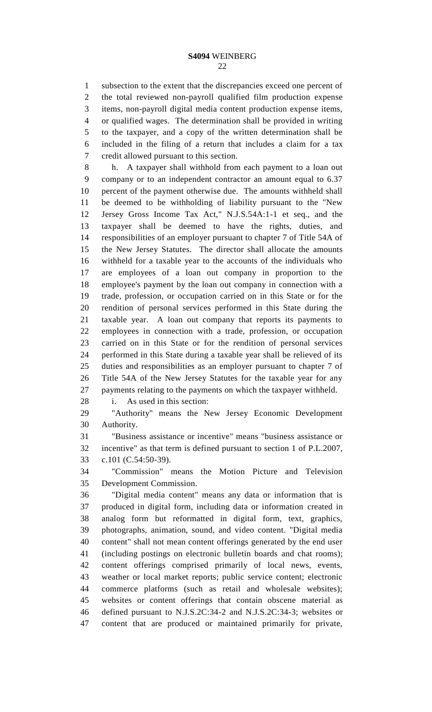subsection to the extent that the discrepancies exceed one percent of the total reviewed non-payroll qualified film production expense items, non-payroll digital media content production expense items, or qualified wages. The determination shall be provided in writing to the taxpayer, and a copy of the written determination shall be included in the filing of a return that includes a claim for a tax credit allowed pursuant to this section.

 h. A taxpayer shall withhold from each payment to a loan out company or to an independent contractor an amount equal to 6.37 percent of the payment otherwise due. The amounts withheld shall be deemed to be withholding of liability pursuant to the "New Jersey Gross Income Tax Act," N.J.S.54A:1-1 et seq., and the taxpayer shall be deemed to have the rights, duties, and responsibilities of an employer pursuant to chapter 7 of Title 54A of the New Jersey Statutes. The director shall allocate the amounts withheld for a taxable year to the accounts of the individuals who are employees of a loan out company in proportion to the employee's payment by the loan out company in connection with a trade, profession, or occupation carried on in this State or for the rendition of personal services performed in this State during the taxable year. A loan out company that reports its payments to employees in connection with a trade, profession, or occupation carried on in this State or for the rendition of personal services performed in this State during a taxable year shall be relieved of its duties and responsibilities as an employer pursuant to chapter 7 of Title 54A of the New Jersey Statutes for the taxable year for any payments relating to the payments on which the taxpayer withheld.

i. As used in this section:

 "Authority" means the New Jersey Economic Development Authority.

 "Business assistance or incentive" means "business assistance or incentive" as that term is defined pursuant to section 1 of P.L.2007, c.101 (C.54:50-39).

 "Commission" means the Motion Picture and Television Development Commission.

 "Digital media content" means any data or information that is produced in digital form, including data or information created in analog form but reformatted in digital form, text, graphics, photographs, animation, sound, and video content. "Digital media content" shall not mean content offerings generated by the end user (including postings on electronic bulletin boards and chat rooms); content offerings comprised primarily of local news, events, weather or local market reports; public service content; electronic commerce platforms (such as retail and wholesale websites); websites or content offerings that contain obscene material as defined pursuant to N.J.S.2C:34-2 and N.J.S.2C:34-3; websites or content that are produced or maintained primarily for private,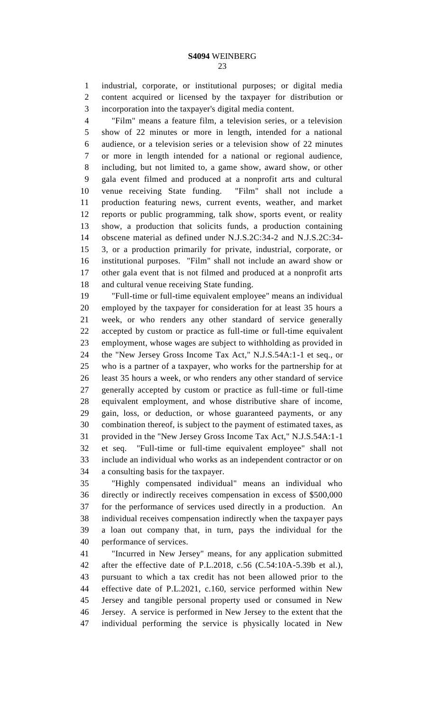industrial, corporate, or institutional purposes; or digital media content acquired or licensed by the taxpayer for distribution or incorporation into the taxpayer's digital media content.

 "Film" means a feature film, a television series, or a television show of 22 minutes or more in length, intended for a national audience, or a television series or a television show of 22 minutes or more in length intended for a national or regional audience, including, but not limited to, a game show, award show, or other gala event filmed and produced at a nonprofit arts and cultural venue receiving State funding. "Film" shall not include a production featuring news, current events, weather, and market reports or public programming, talk show, sports event, or reality show, a production that solicits funds, a production containing obscene material as defined under N.J.S.2C:34-2 and N.J.S.2C:34- 3, or a production primarily for private, industrial, corporate, or institutional purposes. "Film" shall not include an award show or other gala event that is not filmed and produced at a nonprofit arts and cultural venue receiving State funding.

 "Full-time or full-time equivalent employee" means an individual employed by the taxpayer for consideration for at least 35 hours a week, or who renders any other standard of service generally accepted by custom or practice as full-time or full-time equivalent employment, whose wages are subject to withholding as provided in the "New Jersey Gross Income Tax Act," N.J.S.54A:1-1 et seq., or who is a partner of a taxpayer, who works for the partnership for at least 35 hours a week, or who renders any other standard of service generally accepted by custom or practice as full-time or full-time equivalent employment, and whose distributive share of income, gain, loss, or deduction, or whose guaranteed payments, or any combination thereof, is subject to the payment of estimated taxes, as provided in the "New Jersey Gross Income Tax Act," N.J.S.54A:1-1 et seq. "Full-time or full-time equivalent employee" shall not include an individual who works as an independent contractor or on a consulting basis for the taxpayer.

 "Highly compensated individual" means an individual who directly or indirectly receives compensation in excess of \$500,000 for the performance of services used directly in a production. An individual receives compensation indirectly when the taxpayer pays a loan out company that, in turn, pays the individual for the performance of services.

 "Incurred in New Jersey" means, for any application submitted after the effective date of P.L.2018, c.56 (C.54:10A-5.39b et al.), pursuant to which a tax credit has not been allowed prior to the effective date of P.L.2021, c.160, service performed within New Jersey and tangible personal property used or consumed in New Jersey. A service is performed in New Jersey to the extent that the individual performing the service is physically located in New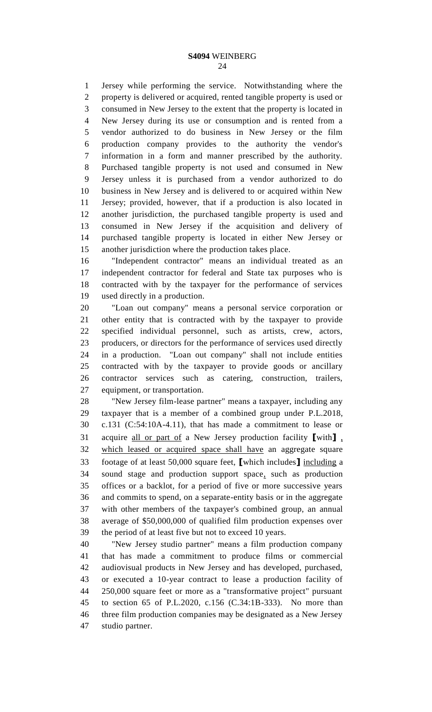Jersey while performing the service. Notwithstanding where the property is delivered or acquired, rented tangible property is used or consumed in New Jersey to the extent that the property is located in New Jersey during its use or consumption and is rented from a vendor authorized to do business in New Jersey or the film production company provides to the authority the vendor's information in a form and manner prescribed by the authority. Purchased tangible property is not used and consumed in New Jersey unless it is purchased from a vendor authorized to do business in New Jersey and is delivered to or acquired within New Jersey; provided, however, that if a production is also located in another jurisdiction, the purchased tangible property is used and consumed in New Jersey if the acquisition and delivery of purchased tangible property is located in either New Jersey or another jurisdiction where the production takes place.

 "Independent contractor" means an individual treated as an independent contractor for federal and State tax purposes who is contracted with by the taxpayer for the performance of services used directly in a production.

 "Loan out company" means a personal service corporation or other entity that is contracted with by the taxpayer to provide specified individual personnel, such as artists, crew, actors, producers, or directors for the performance of services used directly in a production. "Loan out company" shall not include entities contracted with by the taxpayer to provide goods or ancillary contractor services such as catering, construction, trailers, equipment, or transportation.

 "New Jersey film-lease partner" means a taxpayer, including any taxpayer that is a member of a combined group under P.L.2018, c.131 (C:54:10A-4.11), that has made a commitment to lease or acquire all or part of a New Jersey production facility **[**with**]** , which leased or acquired space shall have an aggregate square footage of at least 50,000 square feet, **[**which includes**]** including a sound stage and production support space, such as production offices or a backlot, for a period of five or more successive years and commits to spend, on a separate-entity basis or in the aggregate with other members of the taxpayer's combined group, an annual average of \$50,000,000 of qualified film production expenses over the period of at least five but not to exceed 10 years.

 "New Jersey studio partner" means a film production company that has made a commitment to produce films or commercial audiovisual products in New Jersey and has developed, purchased, or executed a 10-year contract to lease a production facility of 250,000 square feet or more as a "transformative project" pursuant to section 65 of P.L.2020, c.156 (C.34:1B-333). No more than three film production companies may be designated as a New Jersey studio partner.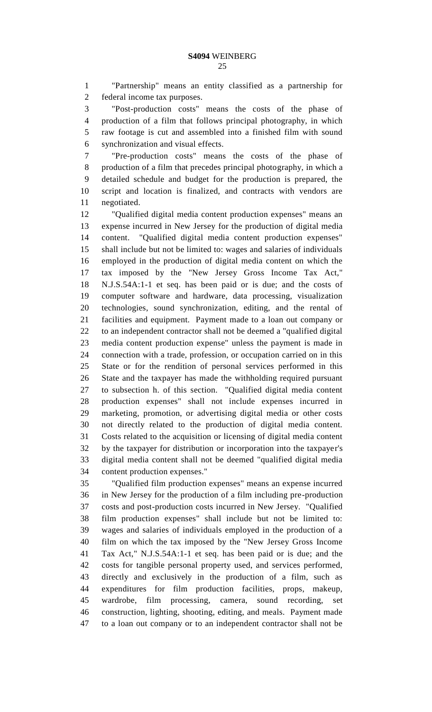"Partnership" means an entity classified as a partnership for federal income tax purposes.

 "Post-production costs" means the costs of the phase of production of a film that follows principal photography, in which raw footage is cut and assembled into a finished film with sound synchronization and visual effects.

 "Pre-production costs" means the costs of the phase of production of a film that precedes principal photography, in which a detailed schedule and budget for the production is prepared, the script and location is finalized, and contracts with vendors are negotiated.

 "Qualified digital media content production expenses" means an expense incurred in New Jersey for the production of digital media content. "Qualified digital media content production expenses" shall include but not be limited to: wages and salaries of individuals employed in the production of digital media content on which the tax imposed by the "New Jersey Gross Income Tax Act," N.J.S.54A:1-1 et seq. has been paid or is due; and the costs of computer software and hardware, data processing, visualization technologies, sound synchronization, editing, and the rental of facilities and equipment. Payment made to a loan out company or to an independent contractor shall not be deemed a "qualified digital media content production expense" unless the payment is made in connection with a trade, profession, or occupation carried on in this State or for the rendition of personal services performed in this State and the taxpayer has made the withholding required pursuant to subsection h. of this section. "Qualified digital media content production expenses" shall not include expenses incurred in marketing, promotion, or advertising digital media or other costs not directly related to the production of digital media content. Costs related to the acquisition or licensing of digital media content by the taxpayer for distribution or incorporation into the taxpayer's digital media content shall not be deemed "qualified digital media content production expenses."

 "Qualified film production expenses" means an expense incurred in New Jersey for the production of a film including pre-production costs and post-production costs incurred in New Jersey. "Qualified film production expenses" shall include but not be limited to: wages and salaries of individuals employed in the production of a film on which the tax imposed by the "New Jersey Gross Income Tax Act," N.J.S.54A:1-1 et seq. has been paid or is due; and the costs for tangible personal property used, and services performed, directly and exclusively in the production of a film, such as expenditures for film production facilities, props, makeup, wardrobe, film processing, camera, sound recording, set construction, lighting, shooting, editing, and meals. Payment made to a loan out company or to an independent contractor shall not be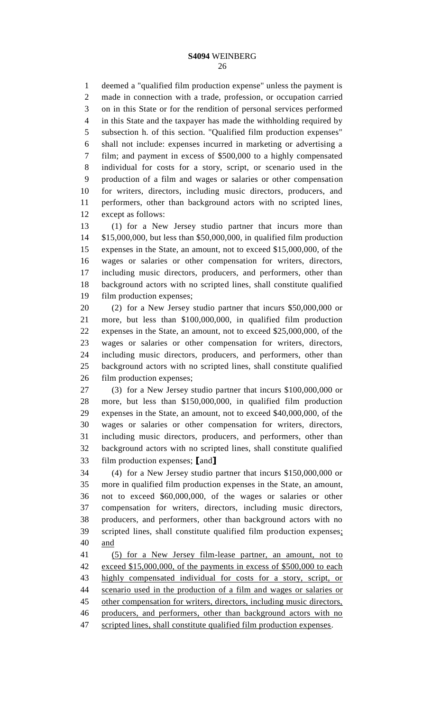deemed a "qualified film production expense" unless the payment is made in connection with a trade, profession, or occupation carried on in this State or for the rendition of personal services performed in this State and the taxpayer has made the withholding required by subsection h. of this section. "Qualified film production expenses" shall not include: expenses incurred in marketing or advertising a film; and payment in excess of \$500,000 to a highly compensated individual for costs for a story, script, or scenario used in the production of a film and wages or salaries or other compensation for writers, directors, including music directors, producers, and performers, other than background actors with no scripted lines, except as follows:

 (1) for a New Jersey studio partner that incurs more than \$15,000,000, but less than \$50,000,000, in qualified film production expenses in the State, an amount, not to exceed \$15,000,000, of the wages or salaries or other compensation for writers, directors, including music directors, producers, and performers, other than background actors with no scripted lines, shall constitute qualified film production expenses;

 (2) for a New Jersey studio partner that incurs \$50,000,000 or more, but less than \$100,000,000, in qualified film production expenses in the State, an amount, not to exceed \$25,000,000, of the wages or salaries or other compensation for writers, directors, including music directors, producers, and performers, other than background actors with no scripted lines, shall constitute qualified film production expenses;

 (3) for a New Jersey studio partner that incurs \$100,000,000 or more, but less than \$150,000,000, in qualified film production expenses in the State, an amount, not to exceed \$40,000,000, of the wages or salaries or other compensation for writers, directors, including music directors, producers, and performers, other than background actors with no scripted lines, shall constitute qualified film production expenses; **[**and**]**

 (4) for a New Jersey studio partner that incurs \$150,000,000 or more in qualified film production expenses in the State, an amount, not to exceed \$60,000,000, of the wages or salaries or other compensation for writers, directors, including music directors, producers, and performers, other than background actors with no scripted lines, shall constitute qualified film production expenses; and

 (5) for a New Jersey film-lease partner, an amount, not to exceed \$15,000,000, of the payments in excess of \$500,000 to each highly compensated individual for costs for a story, script, or scenario used in the production of a film and wages or salaries or 45 other compensation for writers, directors, including music directors, producers, and performers, other than background actors with no 47 scripted lines, shall constitute qualified film production expenses.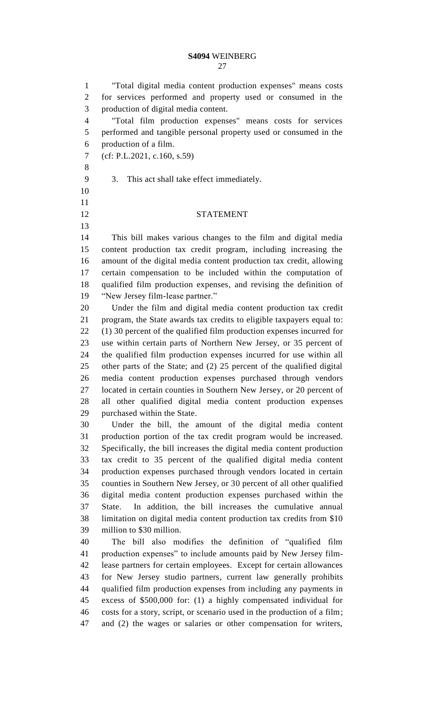"Total digital media content production expenses" means costs for services performed and property used or consumed in the production of digital media content.

 "Total film production expenses" means costs for services performed and tangible personal property used or consumed in the production of a film.

- (cf: P.L.2021, c.160, s.59)
- 
- 3. This act shall take effect immediately.
- 
- STATEMENT

 This bill makes various changes to the film and digital media content production tax credit program, including increasing the amount of the digital media content production tax credit, allowing certain compensation to be included within the computation of qualified film production expenses, and revising the definition of "New Jersey film-lease partner."

 Under the film and digital media content production tax credit program, the State awards tax credits to eligible taxpayers equal to: (1) 30 percent of the qualified film production expenses incurred for use within certain parts of Northern New Jersey, or 35 percent of the qualified film production expenses incurred for use within all other parts of the State; and (2) 25 percent of the qualified digital media content production expenses purchased through vendors located in certain counties in Southern New Jersey, or 20 percent of all other qualified digital media content production expenses purchased within the State.

 Under the bill, the amount of the digital media content production portion of the tax credit program would be increased. Specifically, the bill increases the digital media content production tax credit to 35 percent of the qualified digital media content production expenses purchased through vendors located in certain counties in Southern New Jersey, or 30 percent of all other qualified digital media content production expenses purchased within the State. In addition, the bill increases the cumulative annual limitation on digital media content production tax credits from \$10 million to \$30 million.

 The bill also modifies the definition of "qualified film production expenses" to include amounts paid by New Jersey film- lease partners for certain employees. Except for certain allowances for New Jersey studio partners, current law generally prohibits qualified film production expenses from including any payments in excess of \$500,000 for: (1) a highly compensated individual for costs for a story, script, or scenario used in the production of a film; and (2) the wages or salaries or other compensation for writers,